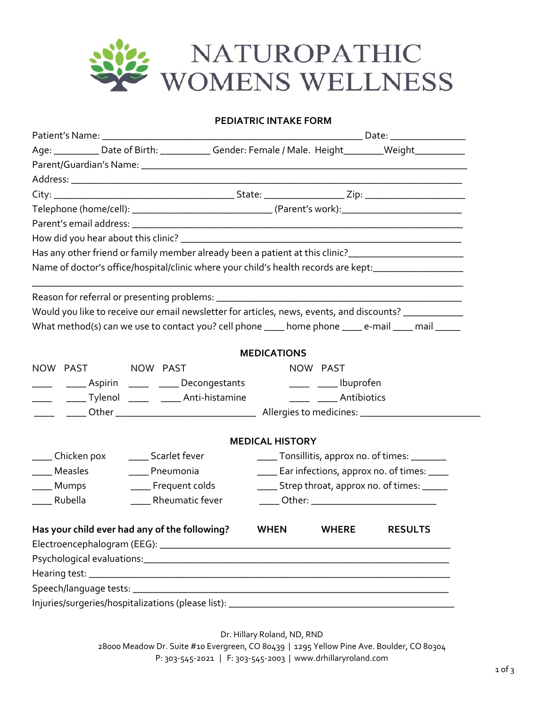

## **PEDIATRIC INTAKE FORM**

|                                                                                                     | Age: __________ Date of Birth: _____________ Gender: Female / Male. Height________Weight___________  |                                                  |                         |                                                  |  |  |  |  |
|-----------------------------------------------------------------------------------------------------|------------------------------------------------------------------------------------------------------|--------------------------------------------------|-------------------------|--------------------------------------------------|--|--|--|--|
|                                                                                                     |                                                                                                      |                                                  |                         |                                                  |  |  |  |  |
|                                                                                                     |                                                                                                      |                                                  |                         |                                                  |  |  |  |  |
|                                                                                                     |                                                                                                      |                                                  |                         |                                                  |  |  |  |  |
|                                                                                                     |                                                                                                      |                                                  |                         |                                                  |  |  |  |  |
|                                                                                                     |                                                                                                      |                                                  |                         |                                                  |  |  |  |  |
|                                                                                                     |                                                                                                      |                                                  |                         |                                                  |  |  |  |  |
| Has any other friend or family member already been a patient at this clinic?_______________________ |                                                                                                      |                                                  |                         |                                                  |  |  |  |  |
|                                                                                                     | Name of doctor's office/hospital/clinic where your child's health records are kept:________________  |                                                  |                         |                                                  |  |  |  |  |
|                                                                                                     |                                                                                                      |                                                  |                         |                                                  |  |  |  |  |
|                                                                                                     |                                                                                                      |                                                  |                         |                                                  |  |  |  |  |
|                                                                                                     | Would you like to receive our email newsletter for articles, news, events, and discounts? __________ |                                                  |                         |                                                  |  |  |  |  |
|                                                                                                     | What method(s) can we use to contact you? cell phone ____ home phone ____ e-mail ____ mail _____     |                                                  |                         |                                                  |  |  |  |  |
|                                                                                                     |                                                                                                      | <b>MEDICATIONS</b>                               |                         |                                                  |  |  |  |  |
| NOW PAST NOW PAST                                                                                   |                                                                                                      | NOW PAST                                         |                         |                                                  |  |  |  |  |
|                                                                                                     | _________________Aspirin ________ _______ Decongestants                                              |                                                  | _____ _____ Ibuprofen   |                                                  |  |  |  |  |
|                                                                                                     | _____ _______ Tylenol ______ _______ Anti-histamine                                                  |                                                  | _____ _____ Antibiotics |                                                  |  |  |  |  |
|                                                                                                     |                                                                                                      |                                                  |                         |                                                  |  |  |  |  |
|                                                                                                     |                                                                                                      |                                                  |                         |                                                  |  |  |  |  |
|                                                                                                     |                                                                                                      | <b>MEDICAL HISTORY</b>                           |                         |                                                  |  |  |  |  |
| ____ Chicken pox                                                                                    | _____ Scarlet fever                                                                                  |                                                  |                         | _____ Tonsillitis, approx no. of times: ________ |  |  |  |  |
| ____ Measles                                                                                        | ____ Pneumonia                                                                                       | _____ Ear infections, approx no. of times: ____  |                         |                                                  |  |  |  |  |
| _____ Mumps                                                                                         | ____ Frequent colds                                                                                  | ______ Strep throat, approx no. of times: ______ |                         |                                                  |  |  |  |  |
| Rubella                                                                                             | Rheumatic fever                                                                                      | _____ Other: _______________________________     |                         |                                                  |  |  |  |  |
|                                                                                                     |                                                                                                      |                                                  |                         |                                                  |  |  |  |  |
|                                                                                                     | Has your child ever had any of the following? WHEN WHERE RESULTS                                     |                                                  |                         |                                                  |  |  |  |  |
|                                                                                                     |                                                                                                      |                                                  |                         |                                                  |  |  |  |  |
|                                                                                                     |                                                                                                      |                                                  |                         |                                                  |  |  |  |  |
|                                                                                                     |                                                                                                      |                                                  |                         |                                                  |  |  |  |  |
|                                                                                                     |                                                                                                      |                                                  |                         |                                                  |  |  |  |  |
|                                                                                                     |                                                                                                      |                                                  |                         |                                                  |  |  |  |  |
|                                                                                                     |                                                                                                      |                                                  |                         |                                                  |  |  |  |  |

Dr. Hillary Roland, ND, RND

28000 Meadow Dr. Suite #10 Evergreen, CO 80439 | 1295 Yellow Pine Ave. Boulder, CO 80304 P: 303‐545‐2021 | F: 303‐545‐2003 | www.drhillaryroland.com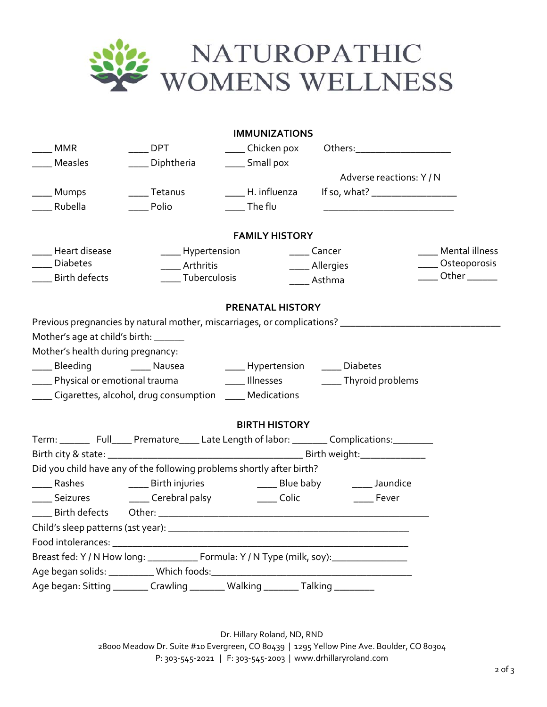

|                                                                                                                |                                                                                                                                                                                                                                                | <b>IMMUNIZATIONS</b>        |                                |                       |
|----------------------------------------------------------------------------------------------------------------|------------------------------------------------------------------------------------------------------------------------------------------------------------------------------------------------------------------------------------------------|-----------------------------|--------------------------------|-----------------------|
| <b>MMR</b>                                                                                                     | <b>DPT</b>                                                                                                                                                                                                                                     | ____ Chicken pox            | Others:_______________________ |                       |
| <b>Measles</b>                                                                                                 | Diphtheria                                                                                                                                                                                                                                     | _____ Small pox             |                                |                       |
|                                                                                                                |                                                                                                                                                                                                                                                |                             | Adverse reactions: Y/N         |                       |
| Mumps                                                                                                          | <b>Tetanus</b>                                                                                                                                                                                                                                 | H. influenza                |                                |                       |
| Rubella                                                                                                        | Polio                                                                                                                                                                                                                                          | $\frac{1}{2}$ The flu       |                                |                       |
|                                                                                                                |                                                                                                                                                                                                                                                | <b>FAMILY HISTORY</b>       |                                |                       |
| Heart disease                                                                                                  | ____ Hypertension                                                                                                                                                                                                                              |                             | _____ Cancer                   | Mental illness        |
| Diabetes                                                                                                       | Arthritis                                                                                                                                                                                                                                      |                             | ____ Allergies                 | ___ Osteoporosis      |
| <b>Birth defects</b>                                                                                           | _____ Tuberculosis                                                                                                                                                                                                                             |                             | Asthma                         | Other $\_\_\_\_\_\_\$ |
|                                                                                                                |                                                                                                                                                                                                                                                | <b>PRENATAL HISTORY</b>     |                                |                       |
| Mother's age at child's birth: _____<br>Mother's health during pregnancy:<br>____ Physical or emotional trauma | Previous pregnancies by natural mother, miscarriages, or complications? ____________________________<br>_____ Bleeding _________ Nausea __________ Hypertension ______ Diabetes<br>____ Cigarettes, alcohol, drug consumption ____ Medications | <b>Example 11</b> Illnesses | _____ Thyroid problems         |                       |
|                                                                                                                |                                                                                                                                                                                                                                                | <b>BIRTH HISTORY</b>        |                                |                       |
|                                                                                                                |                                                                                                                                                                                                                                                |                             |                                |                       |
|                                                                                                                |                                                                                                                                                                                                                                                |                             |                                |                       |
|                                                                                                                | Did you child have any of the following problems shortly after birth?                                                                                                                                                                          |                             |                                |                       |
| Rashes                                                                                                         | ______ Birth injuries                                                                                                                                                                                                                          | _____ Blue baby             | _____ Jaundice                 |                       |
|                                                                                                                | _____ Seizures ______ Cerebral palsy                                                                                                                                                                                                           | $\rule{1em}{0.15mm}$ Colic  | Fever                          |                       |
|                                                                                                                |                                                                                                                                                                                                                                                |                             |                                |                       |
|                                                                                                                |                                                                                                                                                                                                                                                |                             |                                |                       |
|                                                                                                                |                                                                                                                                                                                                                                                |                             |                                |                       |
|                                                                                                                | Breast fed: Y / N How long: ______________ Formula: Y / N Type (milk, soy): _________________                                                                                                                                                  |                             |                                |                       |
|                                                                                                                |                                                                                                                                                                                                                                                |                             |                                |                       |
|                                                                                                                | Age began: Sitting _________ Crawling ________ Walking ________ Talking ________                                                                                                                                                               |                             |                                |                       |

Dr. Hillary Roland, ND, RND 28000 Meadow Dr. Suite #10 Evergreen, CO 80439 | 1295 Yellow Pine Ave. Boulder, CO 80304 P: 303‐545‐2021 | F: 303‐545‐2003 | www.drhillaryroland.com